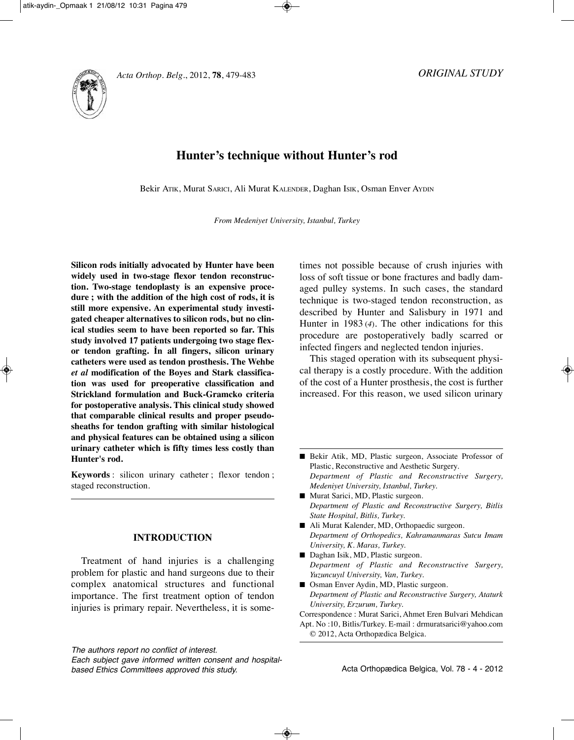



# **Hunter's technique without Hunter's rod**

Bekir ATIK, Murat SARICI, Ali Murat KAlENDER, Daghan ISIK, Osman Enver AyDIN

*From Medeniyet University, Istanbul, Turkey*

**Silicon rods initially advocated by Hunter have been widely used in two-stage flexor tendon reconstruction. Two-stage tendoplasty is an expensive procedure ; with the addition of the high cost of rods, it is still more expensive. An experimental study investigated cheaper alternatives to silicon rods, but no clinical studies seem to have been reported so far. This study involved 17 patients undergoing two stage flexor tendon grafting. İn all fingers, silicon urinary catheters were used as tendon prosthesis. The Wehbe** *et al* **modification of the Boyes and Stark classification was used for preoperative classification and Strickland formulation and Buck-Gramcko criteria for post operative analysis. This clinical study showed that comparable clinical results and proper pseudosheaths for tendon grafting with similar histological and physical features can be obtained using a silicon urinary catheter which is fifty times less costly than Hunter's rod.**

**Keywords** : silicon urinary catheter ; flexor tendon ; staged reconstruction.

# **INTRODUCTION**

Treatment of hand injuries is a challenging problem for plastic and hand surgeons due to their complex anatomical structures and functional importance. The first treatment option of tendon injuries is primary repair. Nevertheless, it is some-

The authors report no conflict of interest.

times not possible because of crush injuries with loss of soft tissue or bone fractures and badly damaged pulley systems. In such cases, the standard technique is two-staged tendon reconstruction, as described by Hunter and Salisbury in 1971 and Hunter in 1983 (*4*). The other indications for this procedure are postoperatively badly scarred or infected fingers and neglected tendon injuries.

This staged operation with its subsequent physical therapy is a costly procedure. With the addition of the cost of a Hunter prosthesis, the cost is further increased. For this reason, we used silicon urinary

- Murat Sarici, MD, Plastic surgeon. *Department of Plastic and Reconstructive Surgery, Bitlis State Hospital, Bitlis, Turkey.*
- Ali Murat Kalender, MD, Orthopaedic surgeon. *Department of Orthopedics, Kahramanmaras Sutcu Imam University, K. Maras, Turkey.*
- Daghan Isik, MD, Plastic surgeon. *Department of Plastic and Reconstructive Surgery, Yuzuncuyıl University, Van, Turkey.*
- Osman Enver Aydin, MD, Plastic surgeon. *Department of Plastic and Reconstructive Surgery, Ataturk University, Erzurum, Turkey.*

Correspondence : Murat Sarici, Ahmet Eren Bulvari Mehdican

Each subject gave informed written consent and hospitalbased Ethics Committees approved this study.

<sup>■</sup> Bekir Atik, MD, Plastic surgeon, Associate Professor of Plastic, Reconstructive and Aesthetic Surgery. *Department of Plastic and Reconstructive Surgery, Medeniyet University, Istanbul, Turkey.*

Apt. No :10, Bitlis/Turkey. E-mail : drmuratsarici@yahoo.com © 2012, Acta Orthopædica Belgica.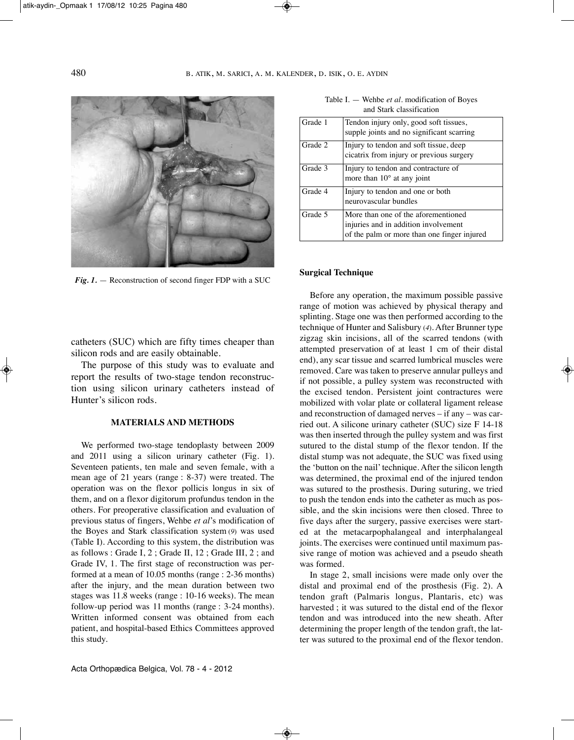

*Fig. 1.* — Reconstruction of second finger FDP with a SUC

catheters (SUC) which are fifty times cheaper than silicon rods and are easily obtainable.

The purpose of this study was to evaluate and report the results of two-stage tendon reconstruction using silicon urinary catheters instead of Hunter's silicon rods.

# **MATERIALS AND METHODS**

We performed two-stage tendoplasty between 2009 and 2011 using a silicon urinary catheter (Fig. 1). Seventeen patients, ten male and seven female, with a mean age of 21 years (range : 8-37) were treated. The operation was on the flexor pollicis longus in six of them, and on a flexor digitorum profundus tendon in the others. For preoperative classification and evaluation of previous status of fingers, Wehbe *et al*'s modification of the Boyes and Stark classification system (*9*) was used (Table I). According to this system, the distribution was as follows : Grade I, 2 ; Grade II, 12 ; Grade III, 2 ; and Grade IV, 1. The first stage of reconstruction was performed at a mean of 10.05 months (range : 2-36 months) after the injury, and the mean duration between two stages was 11.8 weeks (range : 10-16 weeks). The mean follow-up period was 11 months (range : 3-24 months). Written informed consent was obtained from each patient, and hospital-based Ethics Committees approved this study.

Grade 1 Tendon injury only, good soft tissues, supple joints and no significant scarring Grade 2 Injury to tendon and soft tissue, deep cicatrix from injury or previous surgery Grade 3 Injury to tendon and contracture of more than 10° at any joint Grade 4 Injury to tendon and one or both neurovascular bundles Grade 5 More than one of the aforementioned injuries and in addition involvement of the palm or more than one finger injured

#### Table I. — Wehbe *et al*. modification of Boyes and Stark classification

#### **Surgical Technique**

Before any operation, the maximum possible passive range of motion was achieved by physical therapy and splinting. Stage one was then performed according to the technique of Hunter and Salisbury (*4*). After Brunner type zigzag skin incisions, all of the scarred tendons (with attempted preservation of at least 1 cm of their distal end), any scar tissue and scarred lumbrical muscles were removed. Care was taken to preserve annular pulleys and if not possible, a pulley system was reconstructed with the excised tendon. Persistent joint contractures were mobilized with volar plate or collateral ligament release and reconstruction of damaged nerves – if any – was carried out. A silicone urinary catheter (SUC) size F 14-18 was then inserted through the pulley system and was first sutured to the distal stump of the flexor tendon. If the distal stump was not adequate, the SUC was fixed using the 'button on the nail' technique. After the silicon length was determined, the proximal end of the injured tendon was sutured to the prosthesis. During suturing, we tried to push the tendon ends into the catheter as much as possible, and the skin incisions were then closed. Three to five days after the surgery, passive exercises were started at the metacarpophalangeal and interphalangeal joints. The exercises were continued until maximum passive range of motion was achieved and a pseudo sheath was formed.

In stage 2, small incisions were made only over the distal and proximal end of the prosthesis (Fig. 2). A tendon graft (Palmaris longus, Plantaris, etc) was harvested ; it was sutured to the distal end of the flexor tendon and was introduced into the new sheath. After determining the proper length of the tendon graft, the latter was sutured to the proximal end of the flexor tendon.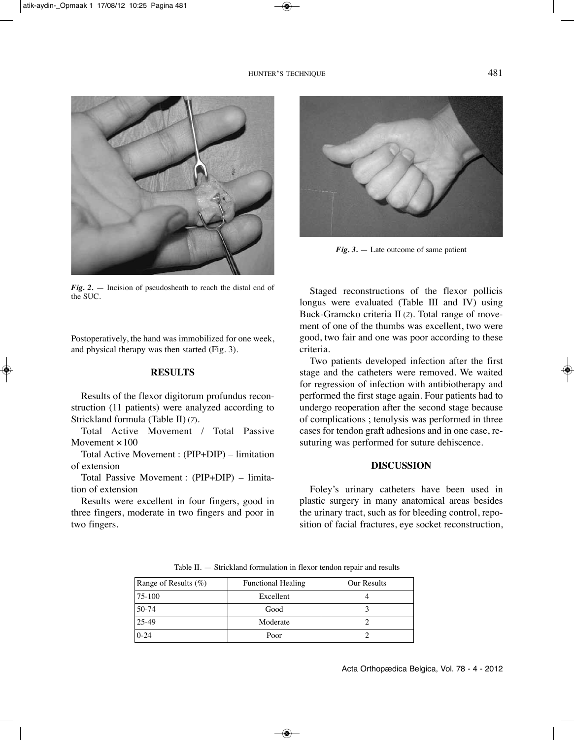

*Fig. 2.* — Incision of pseudosheath to reach the distal end of the SUC.

Postoperatively, the hand was immobilized for one week, and physical therapy was then started (Fig. 3).

# **RESULTS**

Results of the flexor digitorum profundus reconstruction (11 patients) were analyzed according to Strickland formula (Table II) (*7*).

Total Active Movement / Total Passive Movement  $\times$ 100

Total Active Movement : (PIP+DIP) – limitation of extension

Total Passive Movement : (PIP+DIP) – limitation of extension

Results were excellent in four fingers, good in three fingers, moderate in two fingers and poor in two fingers.



*Fig. 3.* — Late outcome of same patient

Staged reconstructions of the flexor pollicis longus were evaluated (Table III and IV) using Buck-Gramcko criteria II (*2*). Total range of movement of one of the thumbs was excellent, two were good, two fair and one was poor according to these criteria.

Two patients developed infection after the first stage and the catheters were removed. We waited for regression of infection with antibiotherapy and performed the first stage again. Four patients had to undergo reoperation after the second stage because of complications ; tenolysis was performed in three cases for tendon graft adhesions and in one case, resuturing was performed for suture dehiscence.

## **DISCUSSION**

Foley's urinary catheters have been used in plastic surgery in many anatomical areas besides the urinary tract, such as for bleeding control, reposition of facial fractures, eye socket reconstruction,

Range of Results (%) Functional Healing Our Results 75-100 Excellent 4 50-74 Good 3 25-49 Moderate 2 0-24 Poor 2

Table II. — Strickland formulation in flexor tendon repair and results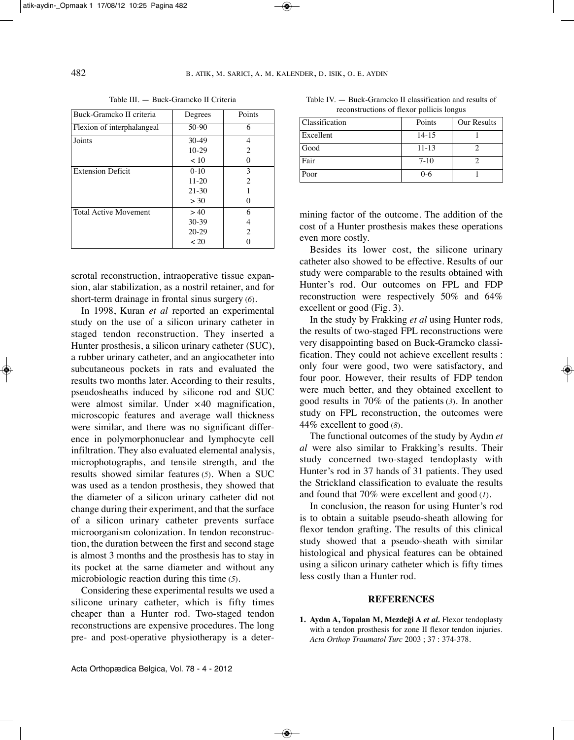| Buck-Gramcko II criteria     | Degrees   | Points         |
|------------------------------|-----------|----------------|
| Flexion of interphalangeal   | $50-90$   | 6              |
| Joints                       | $30-49$   | 4              |
|                              | $10-29$   | 2              |
|                              | < 10      |                |
| <b>Extension Deficit</b>     | $0-10$    | 3              |
|                              | $11 - 20$ | $\mathfrak{D}$ |
|                              | $21 - 30$ |                |
|                              | > 30      |                |
| <b>Total Active Movement</b> | > 40      | 6              |
|                              | $30 - 39$ |                |
|                              | $20-29$   | 2              |
|                              | ~120      |                |

scrotal reconstruction, intraoperative tissue expansion, alar stabilization, as a nostril retainer, and for short-term drainage in frontal sinus surgery (*6*).

In 1998, Kuran *et al* reported an experimental study on the use of a silicon urinary catheter in staged tendon reconstruction. They inserted a Hunter prosthesis, a silicon urinary catheter (SUC), a rubber urinary catheter, and an angiocatheter into subcutaneous pockets in rats and evaluated the results two months later. According to their results, pseudosheaths induced by silicone rod and SUC were almost similar. Under ×40 magnification, microscopic features and average wall thickness were similar, and there was no significant difference in polymorphonuclear and lymphocyte cell infiltration. They also evaluated elemental analysis, microphotographs, and tensile strength, and the results showed similar features (*5*). When a SUC was used as a tendon prosthesis, they showed that the diameter of a silicon urinary catheter did not change during their experiment, and that the surface of a silicon urinary catheter prevents surface microorganism colonization. In tendon reconstruction, the duration between the first and second stage is almost 3 months and the prosthesis has to stay in its pocket at the same diameter and without any microbiologic reaction during this time (*5*).

Considering these experimental results we used a silicone urinary catheter, which is fifty times cheaper than a Hunter rod. Two-staged tendon reconstructions are expensive procedures. The long pre- and post-operative physiotherapy is a deter-

Table III. — Buck-Gramcko II Criteria Table IV. — Buck-Gramcko II classification and results of reconstructions of flexor pollicis longus

| Classification | Points    | Our Results |
|----------------|-----------|-------------|
| Excellent      | $14 - 15$ |             |
| Good           | $11 - 13$ |             |
| Fair           | $7-10$    |             |
| Poor           | $0 - 6$   |             |

mining factor of the outcome. The addition of the cost of a Hunter prosthesis makes these operations even more costly.

Besides its lower cost, the silicone urinary catheter also showed to be effective. Results of our study were comparable to the results obtained with Hunter's rod. Our outcomes on FPl and FDP reconstruction were respectively 50% and 64% excellent or good (Fig. 3).

In the study by Frakking *et al* using Hunter rods*,* the results of two-staged FPl reconstructions were very disappointing based on Buck-Gramcko classification. They could not achieve excellent results : only four were good, two were satisfactory, and four poor. However, their results of FDP tendon were much better, and they obtained excellent to good results in 70% of the patients (*3*). In another study on FPl reconstruction, the outcomes were 44% excellent to good (*8*).

The functional outcomes of the study by Aydın *et al* were also similar to Frakking's results. Their study concerned two-staged tendoplasty with Hunter's rod in 37 hands of 31 patients. They used the Strickland classification to evaluate the results and found that 70% were excellent and good (*1*).

In conclusion, the reason for using Hunter's rod is to obtain a suitable pseudo-sheath allowing for flexor tendon grafting. The results of this clinical study showed that a pseudo-sheath with similar histological and physical features can be obtained using a silicon urinary catheter which is fifty times less costly than a Hunter rod.

## **REFERENCES**

**1. Aydın A, Topalan M, Mezdeği A** *et al.* Flexor tendoplasty with a tendon prosthesis for zone II flexor tendon injuries. *Acta Orthop Traumatol Turc* 2003 ; 37 : 374-378.